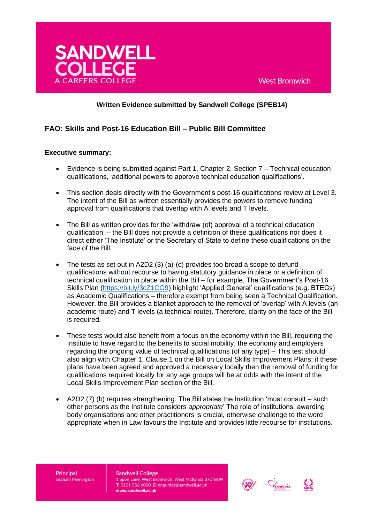

# **Written Evidence submitted by Sandwell College (SPEB14)**

# **FAO: Skills and Post-16 Education Bill – Public Bill Committee**

## **Executive summary:**

- Evidence is being submitted against Part 1, Chapter 2, Section 7 Technical education qualifications, 'additional powers to approve technical education qualifications'.
- This section deals directly with the Government's post-16 qualifications review at Level 3. The intent of the Bill as written essentially provides the powers to remove funding approval from qualifications that overlap with A levels and T levels.
- The Bill as written provides for the 'withdraw (of) approval of a technical education qualification' – the Bill does not provide a definition of these qualifications nor does it direct either 'The Institute' or the Secretary of State to define these qualifications on the face of the Bill.
- The tests as set out in A2D2 (3) (a)-(c) provides too broad a scope to defund qualifications without recourse to having statutory guidance in place or a definition of technical qualification in place within the Bill – for example, The Government's Post-16 Skills Plan [\(https://bit.ly/3cZ1CG9\)](https://bit.ly/3cZ1CG9) highlight 'Applied General' qualifications (e.g. BTECs) as Academic Qualifications – therefore exempt from being seen a Technical Qualification. However, the Bill provides a blanket approach to the removal of 'overlap' with A levels (an academic route) and T levels (a technical route). Therefore, clarity on the face of the Bill is required.
- These tests would also benefit from a focus on the economy within the Bill, requiring the Institute to have regard to the benefits to social mobility, the economy and employers regarding the ongoing value of technical qualifications (of any type) – This test should also align with Chapter 1, Clause 1 on the Bill on Local Skills Improvement Plans; if these plans have been agreed and approved a necessary locally then the removal of funding for qualifications required locally for any age groups will be at odds with the intent of the Local Skills Improvement Plan section of the Bill.
- A2D2 (7) (b) requires strengthening. The Bill states the Institution 'must consult such other persons as the Institute considers *appropriate*' The role of institutions, awarding body organisations and other practitioners is crucial, otherwise challenge to the word appropriate when in Law favours the Institute and provides little recourse for institutions.

Principal **Graham Pennington** 



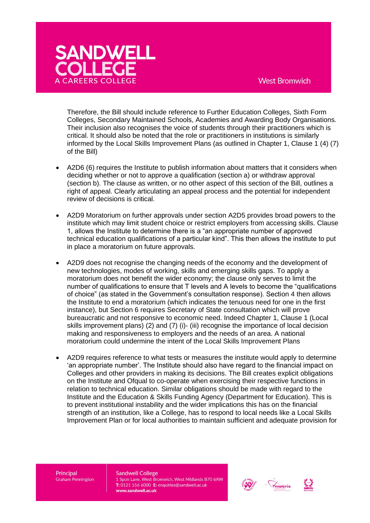

Therefore, the Bill should include reference to Further Education Colleges, Sixth Form Colleges, Secondary Maintained Schools, Academies and Awarding Body Organisations. Their inclusion also recognises the voice of students through their practitioners which is critical. It should also be noted that the role or practitioners in institutions is similarly informed by the Local Skills Improvement Plans (as outlined in Chapter 1, Clause 1 (4) (7) of the Bill)

- A2D6 (6) requires the Institute to publish information about matters that it considers when deciding whether or not to approve a qualification (section a) or withdraw approval (section b). The clause as written, or no other aspect of this section of the Bill, outlines a right of appeal. Clearly articulating an appeal process and the potential for independent review of decisions is critical.
- A2D9 Moratorium on further approvals under section A2D5 provides broad powers to the institute which may limit student choice or restrict employers from accessing skills. Clause 1, allows the Institute to determine there is a "an appropriate number of approved technical education qualifications of a particular kind". This then allows the institute to put in place a moratorium on future approvals.
- A2D9 does not recognise the changing needs of the economy and the development of new technologies, modes of working, skills and emerging skills gaps. To apply a moratorium does not benefit the wider economy; the clause only serves to limit the number of qualifications to ensure that T levels and A levels to become the "qualifications of choice" (as stated in the Government's consultation response). Section 4 then allows the Institute to end a moratorium (which indicates the tenuous need for one in the first instance), but Section 6 requires Secretary of State consultation which will prove bureaucratic and not responsive to economic need. Indeed Chapter 1, Clause 1 (Local skills improvement plans) (2) and (7) (i)- (iii) recognise the importance of local decision making and responsiveness to employers and the needs of an area. A national moratorium could undermine the intent of the Local Skills Improvement Plans
- A2D9 requires reference to what tests or measures the institute would apply to determine 'an appropriate number'. The Institute should also have regard to the financial impact on Colleges and other providers in making its decisions. The Bill creates explicit obligations on the Institute and Ofqual to co-operate when exercising their respective functions in relation to technical education. Similar obligations should be made with regard to the Institute and the Education & Skills Funding Agency (Department for Education). This is to prevent institutional instability and the wider implications this has on the financial strength of an institution, like a College, has to respond to local needs like a Local Skills Improvement Plan or for local authorities to maintain sufficient and adequate provision for

Principal **Graham Pennington**  **Sandwell College** 



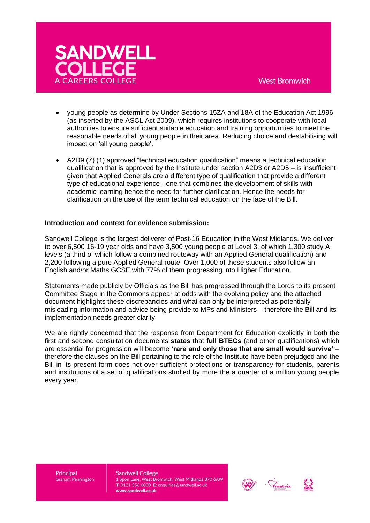

- young people as determine by Under Sections 15ZA and 18A of the Education Act 1996 (as inserted by the ASCL Act 2009), which requires institutions to cooperate with local authorities to ensure sufficient suitable education and training opportunities to meet the reasonable needs of all young people in their area. Reducing choice and destabilising will impact on 'all young people'.
- A2D9 (7) (1) approved "technical education qualification" means a technical education qualification that is approved by the Institute under section A2D3 or A2D5 – is insufficient given that Applied Generals are a different type of qualification that provide a different type of educational experience - one that combines the development of skills with academic learning hence the need for further clarification. Hence the needs for clarification on the use of the term technical education on the face of the Bill.

## **Introduction and context for evidence submission:**

Sandwell College is the largest deliverer of Post-16 Education in the West Midlands. We deliver to over 6,500 16-19 year olds and have 3,500 young people at Level 3, of which 1,300 study A levels (a third of which follow a combined routeway with an Applied General qualification) and 2,200 following a pure Applied General route. Over 1,000 of these students also follow an English and/or Maths GCSE with 77% of them progressing into Higher Education.

Statements made publicly by Officials as the Bill has progressed through the Lords to its present Committee Stage in the Commons appear at odds with the evolving policy and the attached document highlights these discrepancies and what can only be interpreted as potentially misleading information and advice being provide to MPs and Ministers – therefore the Bill and its implementation needs greater clarity.

We are rightly concerned that the response from Department for Education explicitly in both the first and second consultation documents **states** that **full BTECs** (and other qualifications) which are essential for progression will become **'rare and only those that are small would survive'** – therefore the clauses on the Bill pertaining to the role of the Institute have been prejudged and the Bill in its present form does not over sufficient protections or transparency for students, parents and institutions of a set of qualifications studied by more the a quarter of a million young people every year.

Principal **Graham Pennington** 



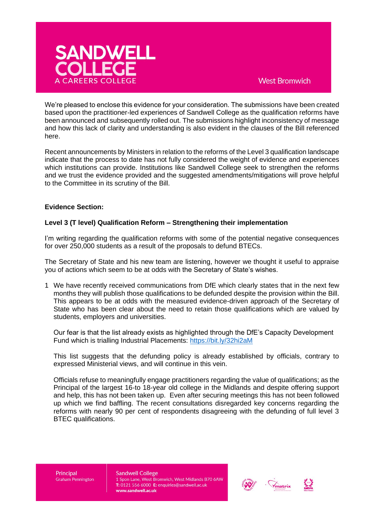

# **West Bromwich**

We're pleased to enclose this evidence for your consideration. The submissions have been created based upon the practitioner-led experiences of Sandwell College as the qualification reforms have been announced and subsequently rolled out. The submissions highlight inconsistency of message and how this lack of clarity and understanding is also evident in the clauses of the Bill referenced here.

Recent announcements by Ministers in relation to the reforms of the Level 3 qualification landscape indicate that the process to date has not fully considered the weight of evidence and experiences which institutions can provide. Institutions like Sandwell College seek to strengthen the reforms and we trust the evidence provided and the suggested amendments/mitigations will prove helpful to the Committee in its scrutiny of the Bill.

## **Evidence Section:**

## **Level 3 (T level) Qualification Reform – Strengthening their implementation**

I'm writing regarding the qualification reforms with some of the potential negative consequences for over 250,000 students as a result of the proposals to defund BTECs.

The Secretary of State and his new team are listening, however we thought it useful to appraise you of actions which seem to be at odds with the Secretary of State's wishes.

1 We have recently received communications from DfE which clearly states that in the next few months they will publish those qualifications to be defunded despite the provision within the Bill. This appears to be at odds with the measured evidence-driven approach of the Secretary of State who has been clear about the need to retain those qualifications which are valued by students, employers and universities.

Our fear is that the list already exists as highlighted through the DfE's Capacity Development Fund which is trialling Industrial Placements:<https://bit.ly/32hi2aM>

This list suggests that the defunding policy is already established by officials, contrary to expressed Ministerial views, and will continue in this vein.

Officials refuse to meaningfully engage practitioners regarding the value of qualifications; as the Principal of the largest 16-to 18-year old college in the Midlands and despite offering support and help, this has not been taken up. Even after securing meetings this has not been followed up which we find baffling. The recent consultations disregarded key concerns regarding the reforms with nearly 90 per cent of respondents disagreeing with the defunding of full level 3 BTEC qualifications.

Principal **Graham Pennington** 



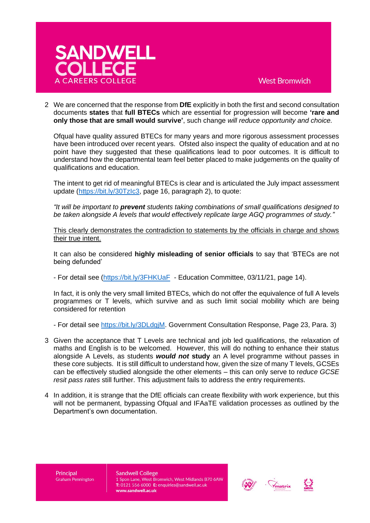

2 We are concerned that the response from **DfE** explicitly in both the first and second consultation documents **states** that **full BTECs** which are essential for progression will become **'rare and only those that are small would survive'**, such change *will reduce opportunity and choice.* 

Ofqual have quality assured BTECs for many years and more rigorous assessment processes have been introduced over recent years. Ofsted also inspect the quality of education and at no point have they suggested that these qualifications lead to poor outcomes. It is difficult to understand how the departmental team feel better placed to make judgements on the quality of qualifications and education.

The intent to get rid of meaningful BTECs is clear and is articulated the July impact assessment update [\(https://bit.ly/30TzIc3,](https://bit.ly/30TzIc3) page 16, paragraph 2), to quote:

*"It will be important to prevent students taking combinations of small qualifications designed to be taken alongside A levels that would effectively replicate large AGQ programmes of study."*

This clearly demonstrates the contradiction to statements by the officials in charge and shows their true intent.

It can also be considered **highly misleading of senior officials** to say that 'BTECs are not being defunded'

- For detail see [\(https://bit.ly/3FHKUaF](https://bit.ly/3FHKUaF) - Education Committee, 03/11/21, page 14).

In fact, it is only the very small limited BTECs, which do not offer the equivalence of full A levels programmes or T levels, which survive and as such limit social mobility which are being considered for retention

- For detail see [https://bit.ly/3DLdgjM.](https://bit.ly/3DLdgjM) Government Consultation Response, Page 23, Para. 3)

- 3 Given the acceptance that T Levels are technical and job led qualifications, the relaxation of maths and English is to be welcomed. However, this will do nothing to enhance their status alongside A Levels, as students *would not* **study** an A level programme without passes in these core subjects. It is still difficult to understand how, given the size of many T levels, GCSEs can be effectively studied alongside the other elements – this can only serve to r*educe GCSE resit pass rates* still further. This adjustment fails to address the entry requirements.
- 4 In addition, it is strange that the DfE officials can create flexibility with work experience, but this will not be permanent, bypassing Ofqual and IFAaTE validation processes as outlined by the Department's own documentation.

Principal **Graham Pennington** 



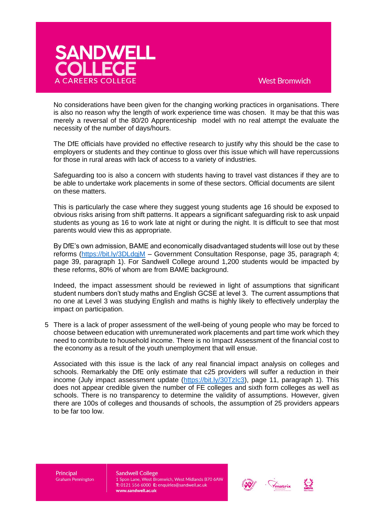

No considerations have been given for the changing working practices in organisations. There is also no reason why the length of work experience time was chosen. It may be that this was merely a reversal of the 80/20 Apprenticeship model with no real attempt the evaluate the necessity of the number of days/hours.

The DfE officials have provided no effective research to justify why this should be the case to employers or students and they continue to gloss over this issue which will have repercussions for those in rural areas with lack of access to a variety of industries.

Safeguarding too is also a concern with students having to travel vast distances if they are to be able to undertake work placements in some of these sectors. Official documents are silent on these matters.

This is particularly the case where they suggest young students age 16 should be exposed to obvious risks arising from shift patterns. It appears a significant safeguarding risk to ask unpaid students as young as 16 to work late at night or during the night. It is difficult to see that most parents would view this as appropriate.

By DfE's own admission, BAME and economically disadvantaged students will lose out by these reforms [\(https://bit.ly/3DLdgjM](https://bit.ly/3DLdgjM) – Government Consultation Response, page 35, paragraph 4; page 39, paragraph 1). For Sandwell College around 1,200 students would be impacted by these reforms, 80% of whom are from BAME background.

Indeed, the impact assessment should be reviewed in light of assumptions that significant student numbers don't study maths and English GCSE at level 3. The current assumptions that no one at Level 3 was studying English and maths is highly likely to effectively underplay the impact on participation.

5 There is a lack of proper assessment of the well-being of young people who may be forced to choose between education with unremunerated work placements and part time work which they need to contribute to household income. There is no Impact Assessment of the financial cost to the economy as a result of the youth unemployment that will ensue.

Associated with this issue is the lack of any real financial impact analysis on colleges and schools. Remarkably the DfE only estimate that c25 providers will suffer a reduction in their income (July impact assessment update (https://bit.ly/30Tzlc3), page 11, paragraph 1). This does not appear credible given the number of FE colleges and sixth form colleges as well as schools. There is no transparency to determine the validity of assumptions. However, given there are 100s of colleges and thousands of schools, the assumption of 25 providers appears to be far too low.

Principal **Graham Pennington** 



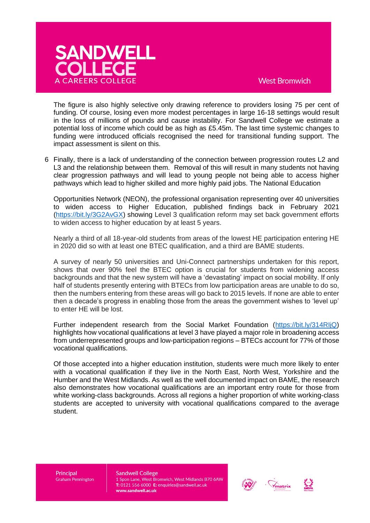

## **West Bromwich**

The figure is also highly selective only drawing reference to providers losing 75 per cent of funding. Of course, losing even more modest percentages in large 16-18 settings would result in the loss of millions of pounds and cause instability. For Sandwell College we estimate a potential loss of income which could be as high as £5.45m. The last time systemic changes to funding were introduced officials recognised the need for transitional funding support. The impact assessment is silent on this.

6 Finally, there is a lack of understanding of the connection between progression routes L2 and L3 and the relationship between them. Removal of this will result in many students not having clear progression pathways and will lead to young people not being able to access higher pathways which lead to higher skilled and more highly paid jobs. The National Education

Opportunities Network (NEON), the professional organisation representing over 40 universities to widen access to Higher Education, published findings back in February 2021 [\(https://bit.ly/3G2AvGX\)](https://bit.ly/3G2AvGX) showing Level 3 qualification reform may set back government efforts to widen access to higher education by at least 5 years.

Nearly a third of all 18-year-old students from areas of the lowest HE participation entering HE in 2020 did so with at least one BTEC qualification, and a third are BAME students.

A survey of nearly 50 universities and Uni-Connect partnerships undertaken for this report, shows that over 90% feel the BTEC option is crucial for students from widening access backgrounds and that the new system will have a 'devastating' impact on social mobility. If only half of students presently entering with BTECs from low participation areas are unable to do so, then the numbers entering from these areas will go back to 2015 levels. If none are able to enter then a decade's progress in enabling those from the areas the government wishes to 'level up' to enter HE will be lost.

Further independent research from the Social Market Foundation [\(https://bit.ly/314RIjQ\)](https://bit.ly/314RIjQ) highlights how vocational qualifications at level 3 have played a major role in broadening access from underrepresented groups and low-participation regions – BTECs account for 77% of those vocational qualifications.

Of those accepted into a higher education institution, students were much more likely to enter with a vocational qualification if they live in the North East, North West, Yorkshire and the Humber and the West Midlands. As well as the well documented impact on BAME, the research also demonstrates how vocational qualifications are an important entry route for those from white working-class backgrounds. Across all regions a higher proportion of white working-class students are accepted to university with vocational qualifications compared to the average student.

Principal **Graham Pennington** 



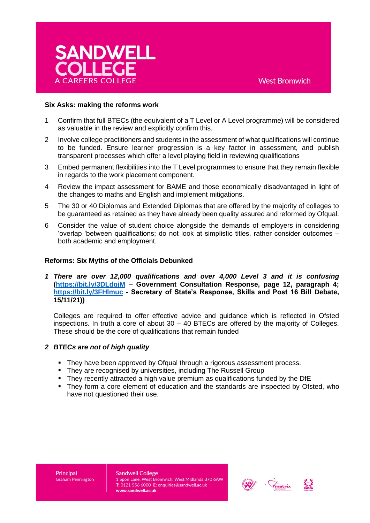

#### **Six Asks: making the reforms work**

- 1 Confirm that full BTECs (the equivalent of a T Level or A Level programme) will be considered as valuable in the review and explicitly confirm this.
- 2 Involve college practitioners and students in the assessment of what qualifications will continue to be funded. Ensure learner progression is a key factor in assessment, and publish transparent processes which offer a level playing field in reviewing qualifications
- 3 Embed permanent flexibilities into the T Level programmes to ensure that they remain flexible in regards to the work placement component.
- 4 Review the impact assessment for BAME and those economically disadvantaged in light of the changes to maths and English and implement mitigations.
- 5 The 30 or 40 Diplomas and Extended Diplomas that are offered by the majority of colleges to be guaranteed as retained as they have already been quality assured and reformed by Ofqual.
- 6 Consider the value of student choice alongside the demands of employers in considering 'overlap 'between qualifications; do not look at simplistic titles, rather consider outcomes – both academic and employment.

## **Reforms: Six Myths of the Officials Debunked**

*1 There are over 12,000 qualifications and over 4,000 Level 3 and it is confusing*  **[\(https://bit.ly/3DLdgjM](https://bit.ly/3DLdgjM) – Government Consultation Response, page 12, paragraph 4; <https://bit.ly/3FHlmuc> - Secretary of State's Response, Skills and Post 16 Bill Debate, 15/11/21))** 

Colleges are required to offer effective advice and guidance which is reflected in Ofsted inspections. In truth a core of about  $30 - 40$  BTECs are offered by the majority of Colleges. These should be the core of qualifications that remain funded

#### *2 BTECs are not of high quality*

- **They have been approved by Ofqual through a rigorous assessment process.**
- They are recognised by universities, including The Russell Group
- They recently attracted a high value premium as qualifications funded by the DfE
- They form a core element of education and the standards are inspected by Ofsted, who have not questioned their use.

Principal **Graham Pennington** 



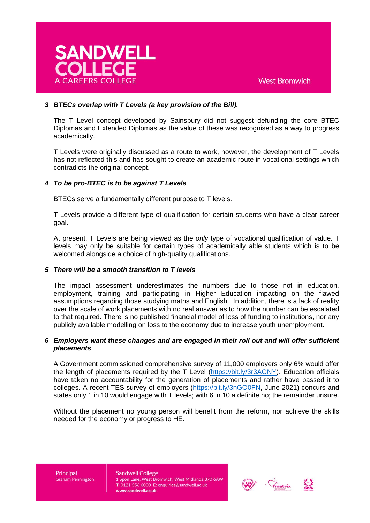

# *3 BTECs overlap with T Levels (a key provision of the Bill).*

The T Level concept developed by Sainsbury did not suggest defunding the core BTEC Diplomas and Extended Diplomas as the value of these was recognised as a way to progress academically.

T Levels were originally discussed as a route to work, however, the development of T Levels has not reflected this and has sought to create an academic route in vocational settings which contradicts the original concept.

## *4 To be pro-BTEC is to be against T Levels*

BTECs serve a fundamentally different purpose to T levels.

T Levels provide a different type of qualification for certain students who have a clear career goal.

At present, T Levels are being viewed as the *only* type of vocational qualification of value. T levels may only be suitable for certain types of academically able students which is to be welcomed alongside a choice of high-quality qualifications.

#### *5 There will be a smooth transition to T levels*

The impact assessment underestimates the numbers due to those not in education, employment, training and participating in Higher Education impacting on the flawed assumptions regarding those studying maths and English. In addition, there is a lack of reality over the scale of work placements with no real answer as to how the number can be escalated to that required. There is no published financial model of loss of funding to institutions, nor any publicly available modelling on loss to the economy due to increase youth unemployment.

## *6 Employers want these changes and are engaged in their roll out and will offer sufficient placements*

A Government commissioned comprehensive survey of 11,000 employers only 6% would offer the length of placements required by the T Level [\(https://bit.ly/3r3AGNY\)](https://bit.ly/3r3AGNY). Education officials have taken no accountability for the generation of placements and rather have passed it to colleges. A recent TES survey of employers [\(https://bit.ly/3nGO0FN,](https://bit.ly/3nGO0FN) June 2021) concurs and states only 1 in 10 would engage with T levels; with 6 in 10 a definite no; the remainder unsure.

Without the placement no young person will benefit from the reform, nor achieve the skills needed for the economy or progress to HE.

Principal **Graham Pennington**